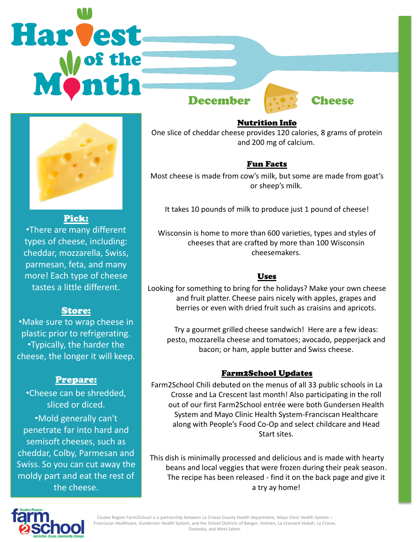# **Harvest** December **Cheese**



#### Pick:

•There are many different types of cheese, including: cheddar, mozzarella, Swiss, parmesan, feta, and many more! Each type of cheese tastes a little different.

## Store:

•Make sure to wrap cheese in plastic prior to refrigerating. •Typically, the harder the cheese, the longer it will keep.

## Prepare:

•Cheese can be shredded, sliced or diced. •Mold generally can't penetrate far into hard and semisoft cheeses, such as cheddar, Colby, Parmesan and Swiss. So you can cut away the moldy part and eat the rest of the cheese.

#### Nutrition Info

One slice of cheddar cheese provides 120 calories, 8 grams of protein and 200 mg of calcium.

## Fun Facts

Most cheese is made from cow's milk, but some are made from goat's or sheep's milk.

It takes 10 pounds of milk to produce just 1 pound of cheese!

Wisconsin is home to more than 600 varieties, types and styles of cheeses that are crafted by more than 100 Wisconsin cheesemakers.

## Uses

Looking for something to bring for the holidays? Make your own cheese and fruit platter. Cheese pairs nicely with apples, grapes and berries or even with dried fruit such as craisins and apricots.

Try a gourmet grilled cheese sandwich! Here are a few ideas: pesto, mozzarella cheese and tomatoes; avocado, pepperjack and bacon; or ham, apple butter and Swiss cheese.

## Farm2School Updates

Farm2School Chili debuted on the menus of all 33 public schools in La Crosse and La Crescent last month! Also participating in the roll out of our first Farm2School entrée were both Gundersen Health System and Mayo Clinic Health System-Franciscan Healthcare along with People's Food Co-Op and select childcare and Head Start sites.

This dish is minimally processed and delicious and is made with hearty beans and local veggies that were frozen during their peak season. The recipe has been released - find it on the back page and give it a try ay home!



Coulee Region Farm2School is a partnership between La Crosse County Health Department, Mayo Clinic Health System – Franciscan Healthcare, Gundersen Health System, and the School Districts of Bangor, Holmen, La Crescent-Hokah, La Crosse, Onalaska, and West Salem.